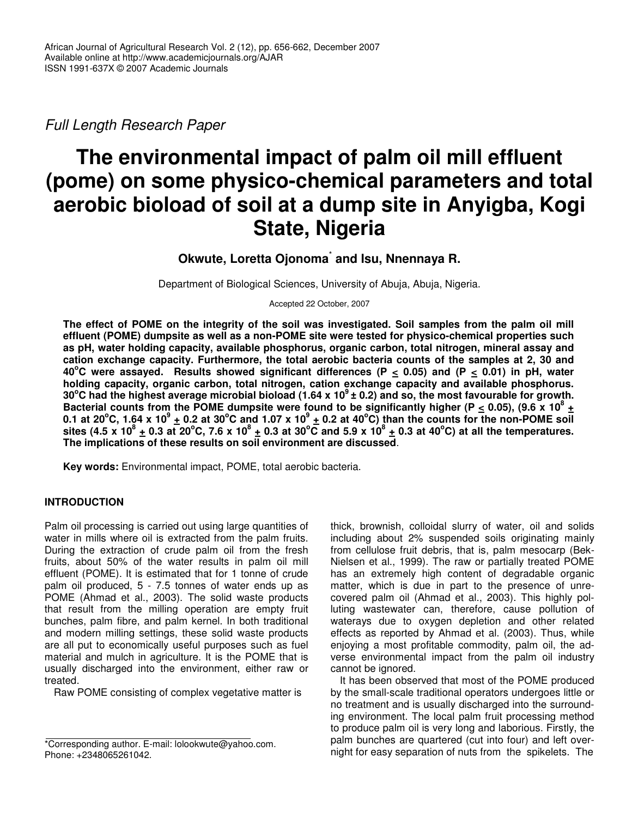*Full Length Research Paper*

# **The environmental impact of palm oil mill effluent (pome) on some physico-chemical parameters and total aerobic bioload of soil at a dump site in Anyigba, Kogi State, Nigeria**

# **Okwute, Loretta Ojonoma** \* **and Isu, Nnennaya R.**

Department of Biological Sciences, University of Abuja, Abuja, Nigeria.

Accepted 22 October, 2007

The effect of POME on the integrity of the soil was investigated. Soil samples from the palm oil mill **effluent (POME) dumpsite as well as a non-POME site were tested for physico-chemical properties such as pH, water holding capacity, available phosphorus, organic carbon, total nitrogen, mineral assay and cation exchange capacity. Furthermore, the total aerobic bacteria counts of the samples at 2, 30 and** 40°C were assayed. Results showed significant differences (P  $\leq$  0.05) and (P  $\leq$  0.01) in pH, water **holding capacity, organic carbon, total nitrogen, cation exchange capacity and available phosphorus.** 30°C had the highest average microbial bioload (1.64 x 10 $^9$  ± 0.2) and so, the most favourable for growth. Bacterial counts from the POME dumpsite were found to be significantly higher (P  $\leq$  0.05), (9.6 x 10<sup>8</sup> + 0.1 at 20°C, 1.64 x 10°  $\pm$  0.2 at 30°C and 1.07 x 10°  $\pm$  0.2 at 40°C) than the counts for the non-POME soil sites (4.5 x 10 $^8$  <u>+</u> 0.3 at 20°C, 7.6 x 10 $^8$  <u>+</u> 0.3 at 30°C and 5.9 x 10 $^8$  <u>+</u> 0.3 at 40°C) at all the temperatures. **The implications of these results on soil environment are discussed**.

**Key words:** Environmental impact, POME, total aerobic bacteria.

## **INTRODUCTION**

Palm oil processing is carried out using large quantities of water in mills where oil is extracted from the palm fruits. During the extraction of crude palm oil from the fresh fruits, about 50% of the water results in palm oil mill effluent (POME). It is estimated that for 1 tonne of crude palm oil produced, 5 - 7.5 tonnes of water ends up as POME (Ahmad et al., 2003). The solid waste products that result from the milling operation are empty fruit bunches, palm fibre, and palm kernel. In both traditional and modern milling settings, these solid waste products are all put to economically useful purposes such as fuel material and mulch in agriculture. It is the POME that is usually discharged into the environment, either raw or treated.

Raw POME consisting of complex vegetative matter is

thick, brownish, colloidal slurry of water, oil and solids including about 2% suspended soils originating mainly from cellulose fruit debris, that is, palm mesocarp (Bek-Nielsen et al., 1999). The raw or partially treated POME has an extremely high content of degradable organic matter, which is due in part to the presence of unrecovered palm oil (Ahmad et al., 2003). This highly polluting wastewater can, therefore, cause pollution of waterays due to oxygen depletion and other related effects as reported by Ahmad et al. (2003). Thus, while enjoying a most profitable commodity, palm oil, the adverse environmental impact from the palm oil industry cannot be ignored.

It has been observed that most of the POME produced by the small-scale traditional operators undergoes little or no treatment and is usually discharged into the surrounding environment. The local palm fruit processing method to produce palm oil is very long and laborious. Firstly, the palm bunches are quartered (cut into four) and left overnight for easy separation of nuts from the spikelets. The

<sup>\*</sup>Corresponding author. E-mail: lolookwute@yahoo.com. Phone: +2348065261042.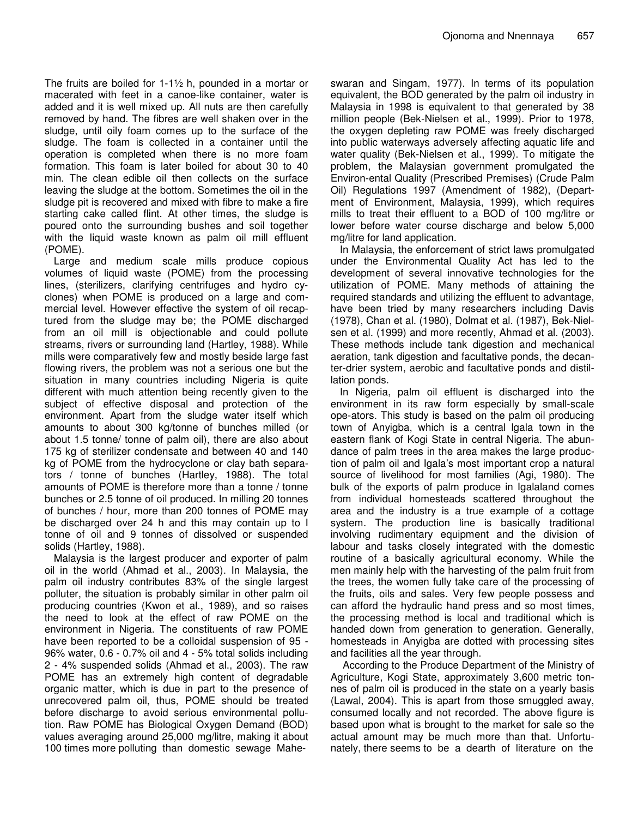The fruits are boiled for  $1-1\frac{1}{2}$  h, pounded in a mortar or macerated with feet in a canoe-like container, water is added and it is well mixed up. All nuts are then carefully removed by hand. The fibres are well shaken over in the sludge, until oily foam comes up to the surface of the sludge. The foam is collected in a container until the operation is completed when there is no more foam formation. This foam is later boiled for about 30 to 40 min. The clean edible oil then collects on the surface leaving the sludge at the bottom. Sometimes the oil in the sludge pit is recovered and mixed with fibre to make a fire starting cake called flint. At other times, the sludge is poured onto the surrounding bushes and soil together with the liquid waste known as palm oil mill effluent (POME).

Large and medium scale mills produce copious volumes of liquid waste (POME) from the processing lines, (sterilizers, clarifying centrifuges and hydro cyclones) when POME is produced on a large and commercial level. However effective the system of oil recaptured from the sludge may be; the POME discharged from an oil mill is objectionable and could pollute streams, rivers or surrounding land (Hartley, 1988). While mills were comparatively few and mostly beside large fast flowing rivers, the problem was not a serious one but the situation in many countries including Nigeria is quite different with much attention being recently given to the subject of effective disposal and protection of the environment. Apart from the sludge water itself which amounts to about 300 kg/tonne of bunches milled (or about 1.5 tonne/ tonne of palm oil), there are also about 175 kg of sterilizer condensate and between 40 and 140 kg of POME from the hydrocyclone or clay bath separators / tonne of bunches (Hartley, 1988). The total amounts of POME is therefore more than a tonne / tonne bunches or 2.5 tonne of oil produced. In milling 20 tonnes of bunches / hour, more than 200 tonnes of POME may be discharged over 24 h and this may contain up to I tonne of oil and 9 tonnes of dissolved or suspended solids (Hartley, 1988).

Malaysia is the largest producer and exporter of palm oil in the world (Ahmad et al., 2003). In Malaysia, the palm oil industry contributes 83% of the single largest polluter, the situation is probably similar in other palm oil producing countries (Kwon et al., 1989), and so raises the need to look at the effect of raw POME on the environment in Nigeria. The constituents of raw POME have been reported to be a colloidal suspension of 95 - 96% water, 0.6 - 0.7% oil and 4 - 5% total solids including 2 - 4% suspended solids (Ahmad et al., 2003). The raw POME has an extremely high content of degradable organic matter, which is due in part to the presence of unrecovered palm oil, thus, POME should be treated before discharge to avoid serious environmental pollution. Raw POME has Biological Oxygen Demand (BOD) values averaging around 25,000 mg/litre, making it about 100 times more polluting than domestic sewage Mahe-

swaran and Singam, 1977). In terms of its population equivalent, the BOD generated by the palm oil industry in Malaysia in 1998 is equivalent to that generated by 38 million people (Bek-Nielsen et al., 1999). Prior to 1978, the oxygen depleting raw POME was freely discharged into public waterways adversely affecting aquatic life and water quality (Bek-Nielsen et al., 1999). To mitigate the problem, the Malaysian government promulgated the Environ-ental Quality (Prescribed Premises) (Crude Palm Oil) Regulations 1997 (Amendment of 1982), (Department of Environment, Malaysia, 1999), which requires mills to treat their effluent to a BOD of 100 mg/litre or lower before water course discharge and below 5,000 mg/litre for land application.

In Malaysia, the enforcement of strict laws promulgated under the Environmental Quality Act has led to the development of several innovative technologies for the utilization of POME. Many methods of attaining the required standards and utilizing the effluent to advantage, have been tried by many researchers including Davis (1978), Chan et al. (1980), Dolmat et al. (1987), Bek-Nielsen et al. (1999) and more recently, Ahmad et al. (2003). These methods include tank digestion and mechanical aeration, tank digestion and facultative ponds, the decanter-drier system, aerobic and facultative ponds and distillation ponds.

In Nigeria, palm oil effluent is discharged into the environment in its raw form especially by small-scale ope-ators. This study is based on the palm oil producing town of Anyigba, which is a central lgala town in the eastern flank of Kogi State in central Nigeria. The abundance of palm trees in the area makes the large production of palm oil and Igala's most important crop a natural source of livelihood for most families (Agi, 1980). The bulk of the exports of palm produce in Igalaland comes from individual homesteads scattered throughout the area and the industry is a true example of a cottage system. The production line is basically traditional involving rudimentary equipment and the division of labour and tasks closely integrated with the domestic routine of a basically agricultural economy. While the men mainly help with the harvesting of the palm fruit from the trees, the women fully take care of the processing of the fruits, oils and sales. Very few people possess and can afford the hydraulic hand press and so most times, the processing method is local and traditional which is handed down from generation to generation. Generally, homesteads in Anyigba are dotted with processing sites and facilities all the year through.

According to the Produce Department of the Ministry of Agriculture, Kogi State, approximately 3,600 metric tonnes of palm oil is produced in the state on a yearly basis (Lawal, 2004). This is apart from those smuggled away, consumed locally and not recorded. The above figure is based upon what is brought to the market for sale so the actual amount may be much more than that. Unfortunately, there seems to be a dearth of literature on the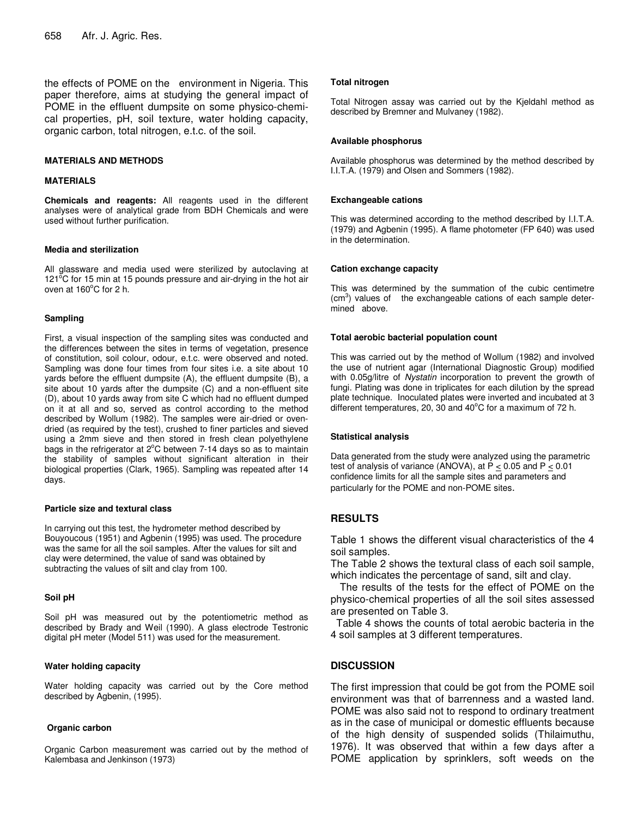the effects of POME on the environment in Nigeria. This paper therefore, aims at studying the general impact of POME in the effluent dumpsite on some physico-chemical properties, pH, soil texture, water holding capacity, organic carbon, total nitrogen, e.t.c. of the soil.

#### **MATERIALS AND METHODS**

#### **MATERIALS**

**Chemicals and reagents:** All reagents used in the different analyses were of analytical grade from BDH Chemicals and were used without further purification.

#### **Media and sterilization**

All glassware and media used were sterilized by autoclaving at 121<sup>°</sup>C for 15 min at 15 pounds pressure and air-drying in the hot air oven at 160°C for 2 h.

#### **Sampling**

First, a visual inspection of the sampling sites was conducted and the differences between the sites in terms of vegetation, presence of constitution, soil colour, odour, e.t.c. were observed and noted. Sampling was done four times from four sites i.e. a site about 10 yards before the effluent dumpsite (A), the effluent dumpsite (B), a site about 10 yards after the dumpsite (C) and a non-effluent site (D), about 10 yards away from site C which had no effluent dumped on it at all and so, served as control according to the method described by Wollum (1982). The samples were air-dried or ovendried (as required by the test), crushed to finer particles and sieved using a 2mm sieve and then stored in fresh clean polyethylene bags in the refrigerator at 2°C between 7-14 days so as to maintain the stability of samples without significant alteration in their biological properties (Clark, 1965). Sampling was repeated after 14 days.

#### **Particle size and textural class**

In carrying out this test, the hydrometer method described by Bouyoucous (1951) and Agbenin (1995) was used. The procedure was the same for all the soil samples. After the values for silt and clay were determined, the value of sand was obtained by subtracting the values of silt and clay from 100.

#### **Soil pH**

Soil pH was measured out by the potentiometric method as described by Brady and Weil (1990). A glass electrode Testronic digital pH meter (Model 511) was used for the measurement.

#### **Water holding capacity**

Water holding capacity was carried out by the Core method described by Agbenin, (1995).

#### **Organic carbon**

Organic Carbon measurement was carried out by the method of Kalembasa and Jenkinson (1973)

#### **Total nitrogen**

Total Nitrogen assay was carried out by the Kjeldahl method as described by Bremner and Mulvaney (1982).

#### **Available phosphorus**

Available phosphorus was determined by the method described by I.I.T.A. (1979) and Olsen and Sommers (1982).

#### **Exchangeable cations**

This was determined according to the method described by I.I.T.A. (1979) and Agbenin (1995). A flame photometer (FP 640) was used in the determination.

#### **Cation exchange capacity**

This was determined by the summation of the cubic centimetre (cm<sup>3</sup>) values of the exchangeable cations of each sample determined above.

#### **Total aerobic bacterial population count**

This was carried out by the method of Wollum (1982) and involved the use of nutrient agar (International Diagnostic Group) modified with 0.05g/litre of *Nystatin* incorporation to prevent the growth of fungi. Plating was done in triplicates for each dilution by the spread plate technique. Inoculated plates were inverted and incubated at 3 different temperatures, 20, 30 and 40°C for a maximum of 72 h.

#### **Statistical analysis**

Data generated from the study were analyzed using the parametric test of analysis of variance (ANOVA), at P  $\leq$  0.05 and P  $\leq$  0.01 confidence limits for all the sample sites and parameters and particularly for the POME and non-POME sites.

## **RESULTS**

Table 1 shows the different visual characteristics of the 4 soil samples.

The Table 2 shows the textural class of each soil sample, which indicates the percentage of sand, silt and clay.

The results of the tests for the effect of POME on the physico-chemical properties of all the soil sites assessed are presented on Table 3.

Table 4 shows the counts of total aerobic bacteria in the 4 soil samples at 3 different temperatures.

## **DISCUSSION**

The first impression that could be got from the POME soil environment was that of barrenness and a wasted land. POME was also said not to respond to ordinary treatment as in the case of municipal or domestic effluents because of the high density of suspended solids (Thilaimuthu, 1976). It was observed that within a few days after a POME application by sprinklers, soft weeds on the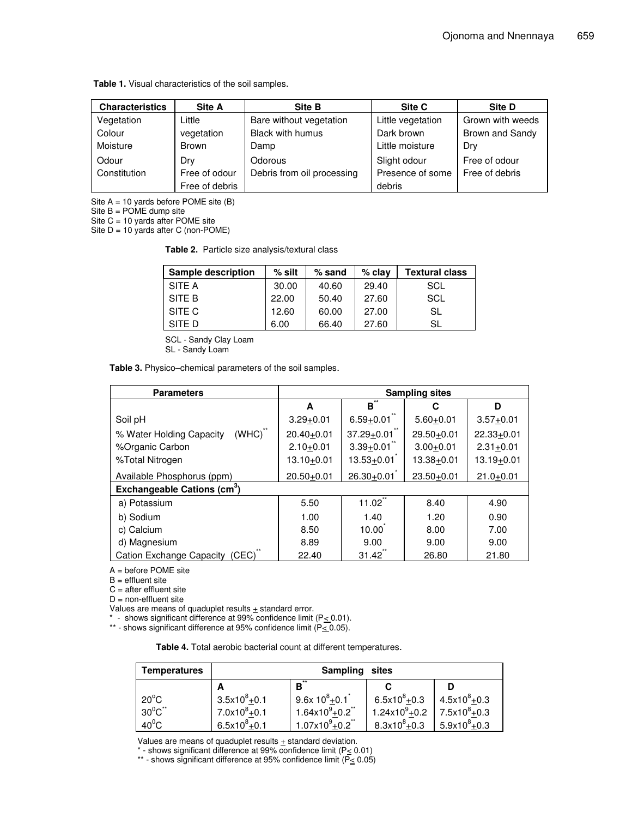**Table 1.** Visual characteristics of the soil samples.

| <b>Characteristics</b> | Site A         | <b>Site B</b>              | Site C            | Site D           |
|------------------------|----------------|----------------------------|-------------------|------------------|
| Vegetation             | Little         | Bare without vegetation    | Little vegetation | Grown with weeds |
| Colour                 | vegetation     | Black with humus           | Dark brown        | Brown and Sandy  |
| Moisture               | <b>Brown</b>   | Damp                       | Little moisture   | Dry              |
| Odour                  | Drv            | Odorous                    | Slight odour      | Free of odour    |
| Constitution           | Free of odour  | Debris from oil processing | Presence of some  | Free of debris   |
|                        | Free of debris |                            | debris            |                  |

Site  $A = 10$  yards before POME site  $(B)$ 

Site  $B = POME$  dump site

Site  $C = 10$  yards after POME site

Site  $D = 10$  yards after C (non-POME)

**Table 2.** Particle size analysis/textural class

| Sample description | $%$ silt | $%$ sand | $%$ clay | <b>Textural class</b> |
|--------------------|----------|----------|----------|-----------------------|
| SITE A             | 30.00    | 40.60    | 29.40    | SCL                   |
| SITE B             | 22.00    | 50.40    | 27.60    | SCL                   |
| SITE C             | 12.60    | 60.00    | 27.00    | SL                    |
| SITF D             | 6.00     | 66.40    | 27.60    | SL                    |

SCL - Sandy Clay Loam

SL - Sandy Loam

**Table 3.** Physico–chemical parameters of the soil samples.

| <b>Parameters</b>                        | <b>Sampling sites</b> |                |                |                     |
|------------------------------------------|-----------------------|----------------|----------------|---------------------|
|                                          | A                     | в              | С              | D                   |
| Soil pH                                  | $3.29 + 0.01$         | $6.59 + 0.01$  | $5.60+0.01$    | $3.57+0.01$         |
| (WHC)<br>% Water Holding Capacity        | $20.40 + 0.01$        | $37.29 + 0.01$ | 29.50+0.01     | $22.33 + 0.01$      |
| %Organic Carbon                          | $2.10+0.01$           | $3.39 + 0.01$  | $3.00 + 0.01$  | $2.31 + 0.01$       |
| %Total Nitrogen                          | 13.10 <u>+</u> 0.01   | $13.53 + 0.01$ | $13.38 + 0.01$ | 13.19 <u>+</u> 0.01 |
| Available Phosphorus (ppm)               | $20.50 + 0.01$        | $26.30 + 0.01$ | $23.50 + 0.01$ | $21.0 + 0.01$       |
| Exchangeable Cations (cm <sup>3</sup> )  |                       |                |                |                     |
| a) Potassium                             | 5.50                  | 11.02          | 8.40           | 4.90                |
| b) Sodium                                | 1.00                  | 1.40           | 1.20           | 0.90                |
| c) Calcium                               | 8.50                  | 10.00          | 8.00           | 7.00                |
| d) Magnesium                             | 8.89                  | 9.00           | 9.00           | 9.00                |
| <b>Cation Exchange Capacity</b><br>'CEC) | 22.40                 | 31.42          | 26.80          | 21.80               |

A = before POME site

B = effluent site

 $C =$  after effluent site

 $D = non-eff$ luent site

Values are means of quaduplet results  $\pm$  standard error.

\* - shows significant difference at 99% confidence limit (P*<* 0.01).

\*\* - shows significant difference at 95% confidence limit  $(\overline{P\leq 0.05})$ .

| Table 4. Total aerobic bacterial count at different temperatures. |  |
|-------------------------------------------------------------------|--|
|-------------------------------------------------------------------|--|

| <b>Temperatures</b> | <b>Sampling</b><br>sites |                                 |                          |                  |
|---------------------|--------------------------|---------------------------------|--------------------------|------------------|
|                     |                          | $\overline{B}^*$                |                          |                  |
| $20^{\circ}$ C      | $3.5x10^{8}+0.1$         | $9.6x 10^8 + 0.1$               | $6.5x10^{8}+0.3$         | $4.5x10^{8}+0.3$ |
| $30^0C^{\ast\ast}$  | $7.0x10^8 + 0.1$         | $1.64 \times 10^{9} + 0.2^{11}$ | $1.24 \times 10^9 + 0.2$ | $7.5x10^{8}+0.3$ |
| $40^0$ C            | $6.5x10^{8}+0.1$         | $1.07x10^{9}+0.2$ <sup>**</sup> | $8.3x10^{8}+0.3$         | $5.9x10^{8}+0.3$ |

Values are means of quaduplet results  $\pm$  standard deviation.

\* - shows significant difference at 99% confidence limit (P $\leq$  0.01)

\*\* - shows significant difference at 95% confidence limit (P< 0.05)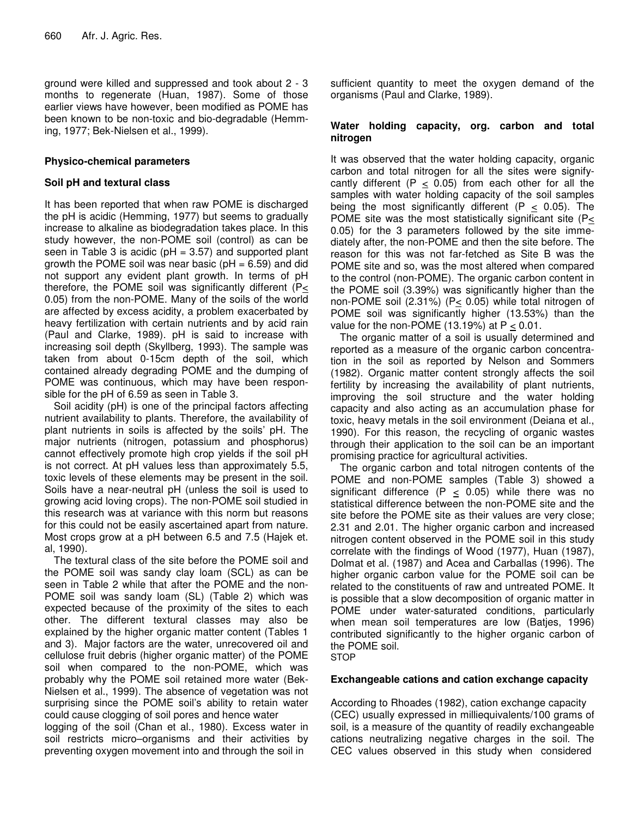ground were killed and suppressed and took about 2 - 3 months to regenerate (Huan, 1987). Some of those earlier views have however, been modified as POME has been known to be non-toxic and bio-degradable (Hemming, 1977; Bek-Nielsen et al., 1999).

## **Physico-chemical parameters**

## **Soil pH and textural class**

It has been reported that when raw POME is discharged the pH is acidic (Hemming, 1977) but seems to gradually increase to alkaline as biodegradation takes place. In this study however, the non-POME soil (control) as can be seen in Table 3 is acidic ( $pH = 3.57$ ) and supported plant growth the POME soil was near basic ( $pH = 6.59$ ) and did not support any evident plant growth. In terms of pH therefore, the POME soil was significantly different (P< 0.05) from the non-POME. Many of the soils of the world are affected by excess acidity, a problem exacerbated by heavy fertilization with certain nutrients and by acid rain (Paul and Clarke, 1989). pH is said to increase with increasing soil depth (Skyllberg, 1993). The sample was taken from about 0-15cm depth of the soil, which contained already degrading POME and the dumping of POME was continuous, which may have been responsible for the pH of 6.59 as seen in Table 3.

Soil acidity (pH) is one of the principal factors affecting nutrient availability to plants. Therefore, the availability of plant nutrients in soils is affected by the soils' pH. The major nutrients (nitrogen, potassium and phosphorus) cannot effectively promote high crop yields if the soil pH is not correct. At pH values less than approximately 5.5, toxic levels of these elements may be present in the soil. Soils have a near-neutral pH (unless the soil is used to growing acid loving crops). The non-POME soil studied in this research was at variance with this norm but reasons for this could not be easily ascertained apart from nature. Most crops grow at a pH between 6.5 and 7.5 (Hajek et. al, 1990).

The textural class of the site before the POME soil and the POME soil was sandy clay loam (SCL) as can be seen in Table 2 while that after the POME and the non-POME soil was sandy loam (SL) (Table 2) which was expected because of the proximity of the sites to each other. The different textural classes may also be explained by the higher organic matter content (Tables 1 and 3). Major factors are the water, unrecovered oil and cellulose fruit debris (higher organic matter) of the POME soil when compared to the non-POME, which was probably why the POME soil retained more water (Bek-Nielsen et al., 1999). The absence of vegetation was not surprising since the POME soil's ability to retain water could cause clogging of soil pores and hence water

logging of the soil (Chan et al., 1980). Excess water in soil restricts micro–organisms and their activities by preventing oxygen movement into and through the soil in

sufficient quantity to meet the oxygen demand of the organisms (Paul and Clarke, 1989).

### **Water holding capacity, org. carbon and total nitrogen**

It was observed that the water holding capacity, organic carbon and total nitrogen for all the sites were signifycantly different ( $P < 0.05$ ) from each other for all the samples with water holding capacity of the soil samples being the most significantly different  $(P < 0.05)$ . The POME site was the most statistically significant site ( $P\leq$ 0.05) for the 3 parameters followed by the site immediately after, the non-POME and then the site before. The reason for this was not far-fetched as Site B was the POME site and so, was the most altered when compared to the control (non-POME). The organic carbon content in the POME soil (3.39%) was significantly higher than the non-POME soil (2.31%) ( $P \le 0.05$ ) while total nitrogen of POME soil was significantly higher (13.53%) than the value for the non-POME  $(13.19%)$  at P < 0.01.

The organic matter of a soil is usually determined and reported as a measure of the organic carbon concentration in the soil as reported by Nelson and Sommers (1982). Organic matter content strongly affects the soil fertility by increasing the availability of plant nutrients, improving the soil structure and the water holding capacity and also acting as an accumulation phase for toxic, heavy metals in the soil environment (Deiana et al., 1990). For this reason, the recycling of organic wastes through their application to the soil can be an important promising practice for agricultural activities.

The organic carbon and total nitrogen contents of the POME and non-POME samples (Table 3) showed a significant difference (P  $\leq$  0.05) while there was no statistical difference between the non-POME site and the site before the POME site as their values are very close; 2.31 and 2.01. The higher organic carbon and increased nitrogen content observed in the POME soil in this study correlate with the findings of Wood (1977), Huan (1987), Dolmat et al. (1987) and Acea and Carballas (1996). The higher organic carbon value for the POME soil can be related to the constituents of raw and untreated POME. It is possible that a slow decomposition of organic matter in POME under water-saturated conditions, particularly when mean soil temperatures are low (Batjes, 1996) contributed significantly to the higher organic carbon of the POME soil. **STOP** 

## **Exchangeable cations and cation exchange capacity**

According to Rhoades (1982), cation exchange capacity (CEC) usually expressed in milliequivalents/100 grams of soil, is a measure of the quantity of readily exchangeable cations neutralizing negative charges in the soil. The CEC values observed in this study when considered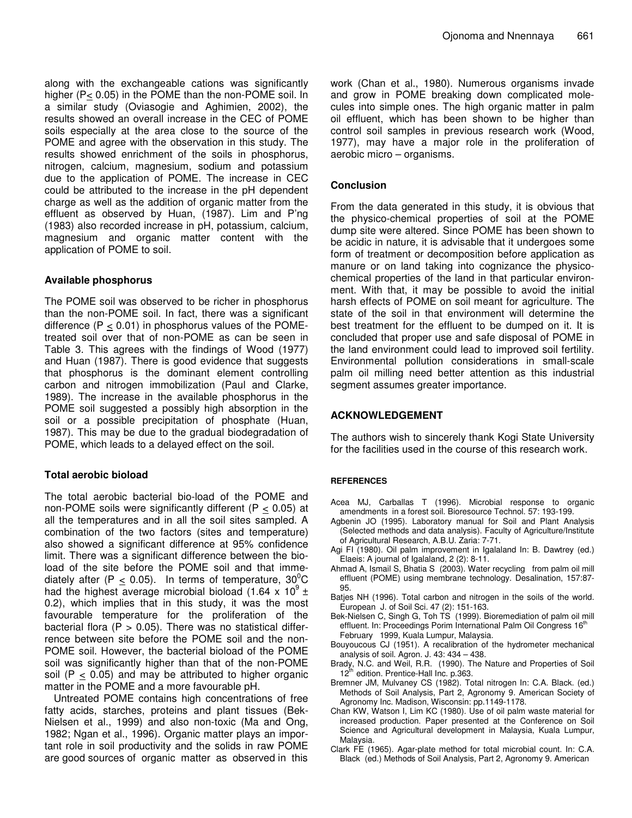along with the exchangeable cations was significantly higher (P< 0.05) in the POME than the non-POME soil. In a similar study (Oviasogie and Aghimien, 2002), the results showed an overall increase in the CEC of POME soils especially at the area close to the source of the POME and agree with the observation in this study. The results showed enrichment of the soils in phosphorus, nitrogen, calcium, magnesium, sodium and potassium due to the application of POME. The increase in CEC could be attributed to the increase in the pH dependent charge as well as the addition of organic matter from the effluent as observed by Huan, (1987). Lim and P'ng (1983) also recorded increase in pH, potassium, calcium, magnesium and organic matter content with the application of POME to soil.

## **Available phosphorus**

The POME soil was observed to be richer in phosphorus than the non-POME soil. In fact, there was a significant difference  $(P < 0.01)$  in phosphorus values of the POMEtreated soil over that of non-POME as can be seen in Table 3. This agrees with the findings of Wood (1977) and Huan (1987). There is good evidence that suggests that phosphorus is the dominant element controlling carbon and nitrogen immobilization (Paul and Clarke, 1989). The increase in the available phosphorus in the POME soil suggested a possibly high absorption in the soil or a possible precipitation of phosphate (Huan, 1987). This may be due to the gradual biodegradation of POME, which leads to a delayed effect on the soil.

## **Total aerobic bioload**

The total aerobic bacterial bio-load of the POME and non-POME soils were significantly different ( $P < 0.05$ ) at all the temperatures and in all the soil sites sampled. A combination of the two factors (sites and temperature) also showed a significant difference at 95% confidence limit. There was a significant difference between the bioload of the site before the POME soil and that immediately after (P  $\leq$  0.05). In terms of temperature, 30<sup>0</sup>C had the highest average microbial bioload (1.64 x 10 $^9$  ± 0.2), which implies that in this study, it was the most favourable temperature for the proliferation of the bacterial flora  $(P > 0.05)$ . There was no statistical differrence between site before the POME soil and the non-POME soil. However, the bacterial bioload of the POME soil was significantly higher than that of the non-POME soil (P  $\leq$  0.05) and may be attributed to higher organic matter in the POME and a more favourable pH.

Untreated POME contains high concentrations of free fatty acids, starches, proteins and plant tissues (Bek-Nielsen et al., 1999) and also non-toxic (Ma and Ong, 1982; Ngan et al., 1996). Organic matter plays an important role in soil productivity and the solids in raw POME are good sources of organic matter as observed in this

work (Chan et al., 1980). Numerous organisms invade and grow in POME breaking down complicated molecules into simple ones. The high organic matter in palm oil effluent, which has been shown to be higher than control soil samples in previous research work (Wood, 1977), may have a major role in the proliferation of aerobic micro – organisms.

## **Conclusion**

From the data generated in this study, it is obvious that the physico-chemical properties of soil at the POME dump site were altered. Since POME has been shown to be acidic in nature, it is advisable that it undergoes some form of treatment or decomposition before application as manure or on land taking into cognizance the physicochemical properties of the land in that particular environment. With that, it may be possible to avoid the initial harsh effects of POME on soil meant for agriculture. The state of the soil in that environment will determine the best treatment for the effluent to be dumped on it. It is concluded that proper use and safe disposal of POME in the land environment could lead to improved soil fertility. Environmental pollution considerations in small-scale palm oil milling need better attention as this industrial segment assumes greater importance.

## **ACKNOWLEDGEMENT**

The authors wish to sincerely thank Kogi State University for the facilities used in the course of this research work.

#### **REFERENCES**

- Acea MJ, Carballas T (1996). Microbial response to organic amendments in a forest soil. Bioresource Technol. 57: 193-199.
- Agbenin JO (1995). Laboratory manual for Soil and Plant Analysis (Selected methods and data analysis). Faculty of Agriculture/Institute of Agricultural Research, A.B.U. Zaria: 7-71.
- Agi FI (1980). Oil palm improvement in Igalaland In: B. Dawtrey (ed.) Elaeis: A journal of Igalaland, 2 (2): 8-11.
- Ahmad A, Ismail S, Bhatia S (2003). Water recycling from palm oil mill effluent (POME) using membrane technology. Desalination, 157:87- 95.
- Batjes NH (1996). Total carbon and nitrogen in the soils of the world. European J. of Soil Sci. 47 (2): 151-163.
- Bek-Nielsen C, Singh G, Toh TS (1999). Bioremediation of palm oil mill effluent. In: Proceedings Porim International Palm Oil Congress 16<sup>th</sup> February 1999, Kuala Lumpur, Malaysia.
- Bouyoucous CJ (1951). A recalibration of the hydrometer mechanical analysis of soil. Agron. J*.* 43: 434 – 438.
- Brady, N.C. and Weil, R.R. (1990). The Nature and Properties of Soil 12<sup>th</sup> edition. Prentice-Hall Inc. p.363.
- Bremner JM, Mulvaney CS (1982). Total nitrogen In: C.A. Black. (ed.) Methods of Soil Analysis, Part 2, Agronomy 9*.* American Society of Agronomy Inc. Madison, Wisconsin: pp.1149-1178.
- Chan KW, Watson I, Lim KC (1980). Use of oil palm waste material for increased production. Paper presented at the Conference on Soil Science and Agricultural development in Malaysia, Kuala Lumpur, Malaysia.
- Clark FE (1965). Agar-plate method for total microbial count. In: C.A. Black (ed.) Methods of Soil Analysis, Part 2, Agronomy 9. American